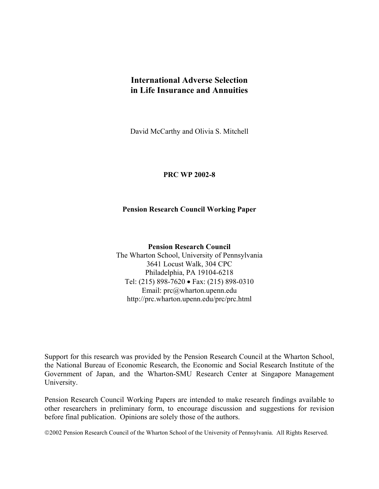# **International Adverse Selection in Life Insurance and Annuities**

David McCarthy and Olivia S. Mitchell

# **PRC WP 2002-8**

## **Pension Research Council Working Paper**

**Pension Research Council**  The Wharton School, University of Pennsylvania 3641 Locust Walk, 304 CPC Philadelphia, PA 19104-6218 Tel: (215) 898-7620 • Fax: (215) 898-0310 Email: prc@wharton.upenn.edu http://prc.wharton.upenn.edu/prc/prc.html

Support for this research was provided by the Pension Research Council at the Wharton School, the National Bureau of Economic Research, the Economic and Social Research Institute of the Government of Japan, and the Wharton-SMU Research Center at Singapore Management University.

Pension Research Council Working Papers are intended to make research findings available to other researchers in preliminary form, to encourage discussion and suggestions for revision before final publication. Opinions are solely those of the authors.

2002 Pension Research Council of the Wharton School of the University of Pennsylvania. All Rights Reserved.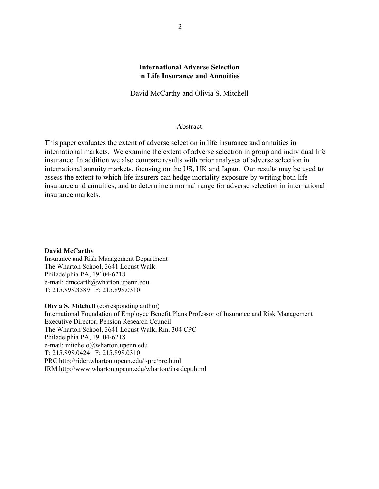# **International Adverse Selection in Life Insurance and Annuities**

David McCarthy and Olivia S. Mitchell

#### Abstract

This paper evaluates the extent of adverse selection in life insurance and annuities in international markets. We examine the extent of adverse selection in group and individual life insurance. In addition we also compare results with prior analyses of adverse selection in international annuity markets, focusing on the US, UK and Japan. Our results may be used to assess the extent to which life insurers can hedge mortality exposure by writing both life insurance and annuities, and to determine a normal range for adverse selection in international insurance markets.

#### **David McCarthy**

Insurance and Risk Management Department The Wharton School, 3641 Locust Walk Philadelphia PA, 19104-6218 e-mail: dmccarth@wharton.upenn.edu T: 215.898.3589 F: 215.898.0310

**Olivia S. Mitchell** (corresponding author) International Foundation of Employee Benefit Plans Professor of Insurance and Risk Management Executive Director, Pension Research Council The Wharton School, 3641 Locust Walk, Rm. 304 CPC Philadelphia PA, 19104-6218 e-mail: mitchelo@wharton.upenn.edu T: 215.898.0424 F: 215.898.0310 PRC http://rider.wharton.upenn.edu/~prc/prc.html IRM http://www.wharton.upenn.edu/wharton/insrdept.html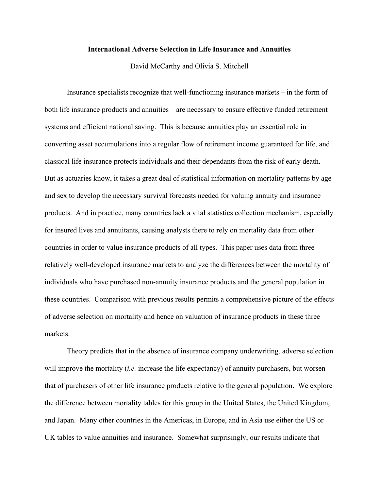#### **International Adverse Selection in Life Insurance and Annuities**

David McCarthy and Olivia S. Mitchell

Insurance specialists recognize that well-functioning insurance markets – in the form of both life insurance products and annuities – are necessary to ensure effective funded retirement systems and efficient national saving. This is because annuities play an essential role in converting asset accumulations into a regular flow of retirement income guaranteed for life, and classical life insurance protects individuals and their dependants from the risk of early death. But as actuaries know, it takes a great deal of statistical information on mortality patterns by age and sex to develop the necessary survival forecasts needed for valuing annuity and insurance products. And in practice, many countries lack a vital statistics collection mechanism, especially for insured lives and annuitants, causing analysts there to rely on mortality data from other countries in order to value insurance products of all types. This paper uses data from three relatively well-developed insurance markets to analyze the differences between the mortality of individuals who have purchased non-annuity insurance products and the general population in these countries. Comparison with previous results permits a comprehensive picture of the effects of adverse selection on mortality and hence on valuation of insurance products in these three markets.

Theory predicts that in the absence of insurance company underwriting, adverse selection will improve the mortality (*i.e.* increase the life expectancy) of annuity purchasers, but worsen that of purchasers of other life insurance products relative to the general population. We explore the difference between mortality tables for this group in the United States, the United Kingdom, and Japan. Many other countries in the Americas, in Europe, and in Asia use either the US or UK tables to value annuities and insurance. Somewhat surprisingly, our results indicate that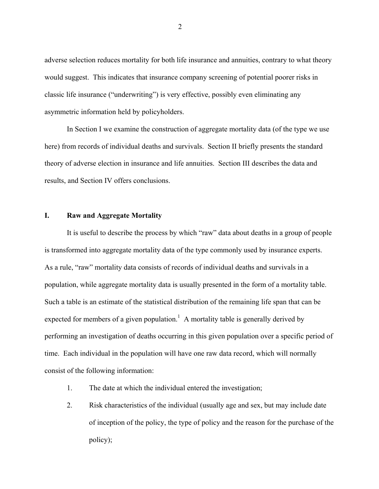adverse selection reduces mortality for both life insurance and annuities, contrary to what theory would suggest. This indicates that insurance company screening of potential poorer risks in classic life insurance ("underwriting") is very effective, possibly even eliminating any asymmetric information held by policyholders.

In Section I we examine the construction of aggregate mortality data (of the type we use here) from records of individual deaths and survivals. Section II briefly presents the standard theory of adverse election in insurance and life annuities. Section III describes the data and results, and Section IV offers conclusions.

# **I. Raw and Aggregate Mortality**

 It is useful to describe the process by which "raw" data about deaths in a group of people is transformed into aggregate mortality data of the type commonly used by insurance experts. As a rule, "raw" mortality data consists of records of individual deaths and survivals in a population, while aggregate mortality data is usually presented in the form of a mortality table. Such a table is an estimate of the statistical distribution of the remaining life span that can be expected for members of a given population.<sup>1</sup> A mortality table is generally derived by performing an investigation of deaths occurring in this given population over a specific period of time. Each individual in the population will have one raw data record, which will normally consist of the following information:

- 1. The date at which the individual entered the investigation;
- 2. Risk characteristics of the individual (usually age and sex, but may include date of inception of the policy, the type of policy and the reason for the purchase of the policy);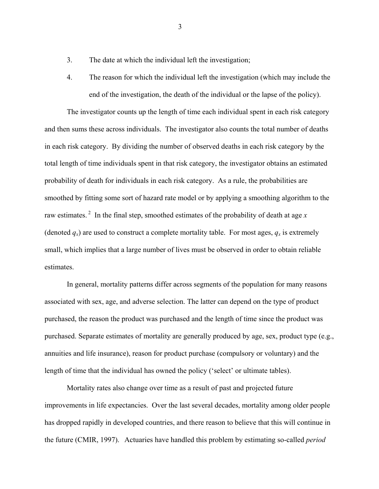- 3. The date at which the individual left the investigation;
- 4. The reason for which the individual left the investigation (which may include the end of the investigation, the death of the individual or the lapse of the policy).

The investigator counts up the length of time each individual spent in each risk category and then sums these across individuals. The investigator also counts the total number of deaths in each risk category. By dividing the number of observed deaths in each risk category by the total length of time individuals spent in that risk category, the investigator obtains an estimated probability of death for individuals in each risk category. As a rule, the probabilities are smoothed by fitting some sort of hazard rate model or by applying a smoothing algorithm to the raw estimates. [2](#page-30-1) In the final step, smoothed estimates of the probability of death at age *x* (denoted  $q_x$ ) are used to construct a complete mortality table. For most ages,  $q_x$  is extremely small, which implies that a large number of lives must be observed in order to obtain reliable estimates.

In general, mortality patterns differ across segments of the population for many reasons associated with sex, age, and adverse selection. The latter can depend on the type of product purchased, the reason the product was purchased and the length of time since the product was purchased. Separate estimates of mortality are generally produced by age, sex, product type (e.g., annuities and life insurance), reason for product purchase (compulsory or voluntary) and the length of time that the individual has owned the policy ('select' or ultimate tables).

Mortality rates also change over time as a result of past and projected future improvements in life expectancies. Over the last several decades, mortality among older people has dropped rapidly in developed countries, and there reason to believe that this will continue in the future (CMIR, 1997). Actuaries have handled this problem by estimating so-called *period*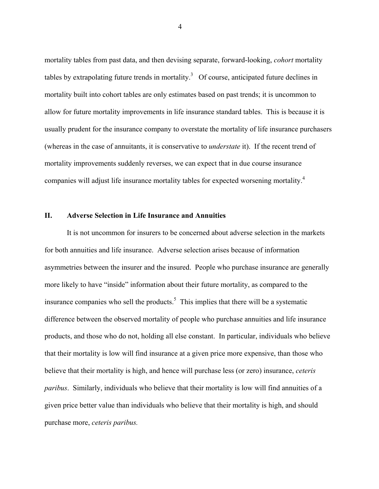mortality tables from past data, and then devising separate, forward-looking, *cohort* mortality tables by extrapolating future trends in mortality.<sup>[3](#page-30-2)</sup> Of course, anticipated future declines in mortality built into cohort tables are only estimates based on past trends; it is uncommon to allow for future mortality improvements in life insurance standard tables. This is because it is usually prudent for the insurance company to overstate the mortality of life insurance purchasers (whereas in the case of annuitants, it is conservative to *understate* it). If the recent trend of mortality improvements suddenly reverses, we can expect that in due course insurance companies will adjust life insurance mortality tables for expected worsening mortality.[4](#page-30-3)

#### **II. Adverse Selection in Life Insurance and Annuities**

It is not uncommon for insurers to be concerned about adverse selection in the markets for both annuities and life insurance. Adverse selection arises because of information asymmetries between the insurer and the insured. People who purchase insurance are generally more likely to have "inside" information about their future mortality, as compared to the insurance companies who sell the products.<sup>[5](#page-30-4)</sup> This implies that there will be a systematic difference between the observed mortality of people who purchase annuities and life insurance products, and those who do not, holding all else constant. In particular, individuals who believe that their mortality is low will find insurance at a given price more expensive, than those who believe that their mortality is high, and hence will purchase less (or zero) insurance, *ceteris paribus*. Similarly, individuals who believe that their mortality is low will find annuities of a given price better value than individuals who believe that their mortality is high, and should purchase more, *ceteris paribus.*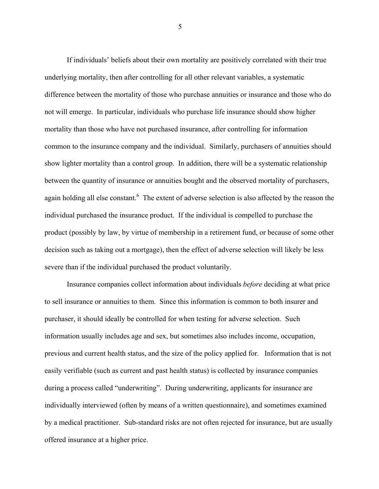If individuals' beliefs about their own mortality are positively correlated with their true underlying mortality, then after controlling for all other relevant variables, a systematic difference between the mortality of those who purchase annuities or insurance and those who do not will emerge. In particular, individuals who purchase life insurance should show higher mortality than those who have not purchased insurance, after controlling for information common to the insurance company and the individual. Similarly, purchasers of annuities should show lighter mortality than a control group. In addition, there will be a systematic relationship between the quantity of insurance or annuities bought and the observed mortality of purchasers, again holding all else constant. <sup>[6](#page-30-3)</sup> The extent of adverse selection is also affected by the reason the individual purchased the insurance product. If the individual is compelled to purchase the product (possibly by law, by virtue of membership in a retirement fund, or because of some other decision such as taking out a mortgage), then the effect of adverse selection will likely be less severe than if the individual purchased the product voluntarily.

Insurance companies collect information about individuals *before* deciding at what price to sell insurance or annuities to them. Since this information is common to both insurer and purchaser, it should ideally be controlled for when testing for adverse selection. Such information usually includes age and sex, but sometimes also includes income, occupation, previous and current health status, and the size of the policy applied for. Information that is not easily verifiable (such as current and past health status) is collected by insurance companies during a process called "underwriting". During underwriting, applicants for insurance are individually interviewed (often by means of a written questionnaire), and sometimes examined by a medical practitioner. Sub-standard risks are not often rejected for insurance, but are usually offered insurance at a higher price.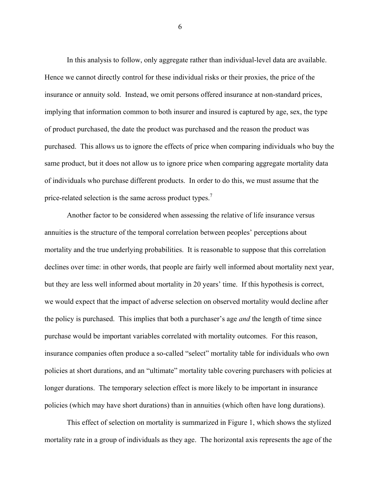In this analysis to follow, only aggregate rather than individual-level data are available. Hence we cannot directly control for these individual risks or their proxies, the price of the insurance or annuity sold. Instead, we omit persons offered insurance at non-standard prices, implying that information common to both insurer and insured is captured by age, sex, the type of product purchased, the date the product was purchased and the reason the product was purchased. This allows us to ignore the effects of price when comparing individuals who buy the same product, but it does not allow us to ignore price when comparing aggregate mortality data of individuals who purchase different products. In order to do this, we must assume that the price-related selection is the same across product types.<sup>7</sup>

 Another factor to be considered when assessing the relative of life insurance versus annuities is the structure of the temporal correlation between peoples' perceptions about mortality and the true underlying probabilities. It is reasonable to suppose that this correlation declines over time: in other words, that people are fairly well informed about mortality next year, but they are less well informed about mortality in 20 years' time. If this hypothesis is correct, we would expect that the impact of adverse selection on observed mortality would decline after the policy is purchased. This implies that both a purchaser's age *and* the length of time since purchase would be important variables correlated with mortality outcomes. For this reason, insurance companies often produce a so-called "select" mortality table for individuals who own policies at short durations, and an "ultimate" mortality table covering purchasers with policies at longer durations. The temporary selection effect is more likely to be important in insurance policies (which may have short durations) than in annuities (which often have long durations).

This effect of selection on mortality is summarized in Figure 1, which shows the stylized mortality rate in a group of individuals as they age. The horizontal axis represents the age of the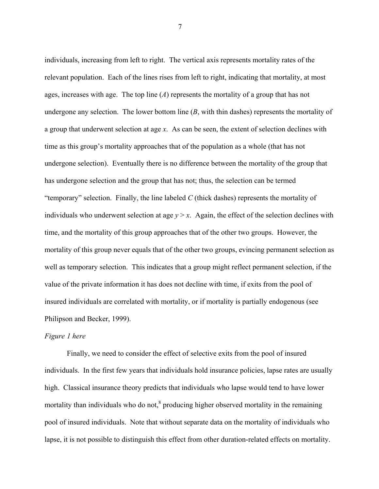individuals, increasing from left to right. The vertical axis represents mortality rates of the relevant population. Each of the lines rises from left to right, indicating that mortality, at most ages, increases with age. The top line (*A*) represents the mortality of a group that has not undergone any selection. The lower bottom line (*B*, with thin dashes) represents the mortality of a group that underwent selection at age *x*. As can be seen, the extent of selection declines with time as this group's mortality approaches that of the population as a whole (that has not undergone selection). Eventually there is no difference between the mortality of the group that has undergone selection and the group that has not; thus, the selection can be termed "temporary" selection. Finally, the line labeled *C* (thick dashes) represents the mortality of individuals who underwent selection at age  $y > x$ . Again, the effect of the selection declines with time, and the mortality of this group approaches that of the other two groups. However, the mortality of this group never equals that of the other two groups, evincing permanent selection as well as temporary selection. This indicates that a group might reflect permanent selection, if the value of the private information it has does not decline with time, if exits from the pool of insured individuals are correlated with mortality, or if mortality is partially endogenous (see Philipson and Becker, 1999).

# *Figure 1 here*

Finally, we need to consider the effect of selective exits from the pool of insured individuals. In the first few years that individuals hold insurance policies, lapse rates are usually high. Classical insurance theory predicts that individuals who lapse would tend to have lower mortalitythan individuals who do not, ${}^{8}$  producing higher observed mortality in the remaining pool of insured individuals. Note that without separate data on the mortality of individuals who lapse, it is not possible to distinguish this effect from other duration-related effects on mortality.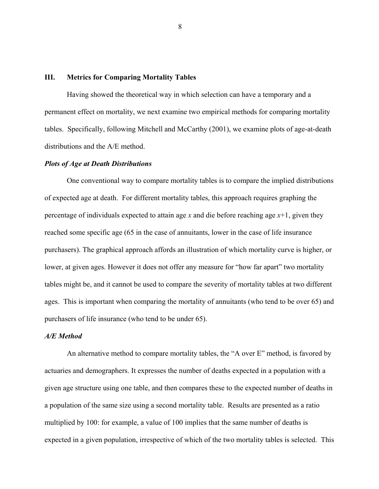#### **III. Metrics for Comparing Mortality Tables**

Having showed the theoretical way in which selection can have a temporary and a permanent effect on mortality, we next examine two empirical methods for comparing mortality tables. Specifically, following Mitchell and McCarthy (2001), we examine plots of age-at-death distributions and the A/E method.

## *Plots of Age at Death Distributions*

One conventional way to compare mortality tables is to compare the implied distributions of expected age at death. For different mortality tables, this approach requires graphing the percentage of individuals expected to attain age  $x$  and die before reaching age  $x+1$ , given they reached some specific age (65 in the case of annuitants, lower in the case of life insurance purchasers). The graphical approach affords an illustration of which mortality curve is higher, or lower, at given ages. However it does not offer any measure for "how far apart" two mortality tables might be, and it cannot be used to compare the severity of mortality tables at two different ages. This is important when comparing the mortality of annuitants (who tend to be over 65) and purchasers of life insurance (who tend to be under 65).

### *A/E Method*

An alternative method to compare mortality tables, the "A over E" method, is favored by actuaries and demographers. It expresses the number of deaths expected in a population with a given age structure using one table, and then compares these to the expected number of deaths in a population of the same size using a second mortality table. Results are presented as a ratio multiplied by 100: for example, a value of 100 implies that the same number of deaths is expected in a given population, irrespective of which of the two mortality tables is selected. This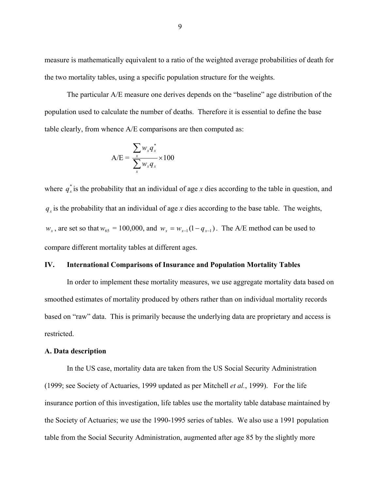measure is mathematically equivalent to a ratio of the weighted average probabilities of death for the two mortality tables, using a specific population structure for the weights.

The particular A/E measure one derives depends on the "baseline" age distribution of the population used to calculate the number of deaths. Therefore it is essential to define the base table clearly, from whence A/E comparisons are then computed as:

$$
A/E = \frac{\sum_{x} w_x q_x^*}{\sum_{x} w_x q_x} \times 100
$$

where  $q_x^*$  is the probability that an individual of age *x* dies according to the table in question, and  $q_x$  is the probability that an individual of age *x* dies according to the base table. The weights,  $w_x$ , are set so that  $w_{65} = 100,000$ , and  $w_x = w_{x-1} (1 - q_{x-1})$ . The A/E method can be used to compare different mortality tables at different ages.

# **IV. International Comparisons of Insurance and Population Mortality Tables**

In order to implement these mortality measures, we use aggregate mortality data based on smoothed estimates of mortality produced by others rather than on individual mortality records based on "raw" data. This is primarily because the underlying data are proprietary and access is restricted.

### **A. Data description**

In the US case, mortality data are taken from the US Social Security Administration (1999; see Society of Actuaries, 1999 updated as per Mitchell *et al.*, 1999). For the life insurance portion of this investigation, life tables use the mortality table database maintained by the Society of Actuaries; we use the 1990-1995 series of tables. We also use a 1991 population table from the Social Security Administration, augmented after age 85 by the slightly more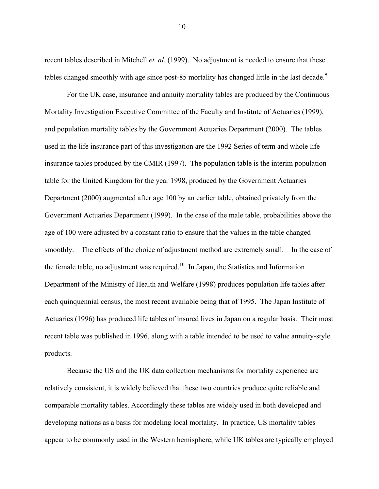recent tables described in Mitchell *et. al.* (1999). No adjustment is needed to ensure that these tables changed smoothly with age since post-85 mortality has changed little in the last decade.<sup>[9](#page-30-2)</sup>

For the UK case, insurance and annuity mortality tables are produced by the Continuous Mortality Investigation Executive Committee of the Faculty and Institute of Actuaries (1999), and population mortality tables by the Government Actuaries Department (2000). The tables used in the life insurance part of this investigation are the 1992 Series of term and whole life insurance tables produced by the CMIR (1997). The population table is the interim population table for the United Kingdom for the year 1998, produced by the Government Actuaries Department (2000) augmented after age 100 by an earlier table, obtained privately from the Government Actuaries Department (1999). In the case of the male table, probabilities above the age of 100 were adjusted by a constant ratio to ensure that the values in the table changed smoothly. The effects of the choice of adjustment method are extremely small. In the case of the female table, no adjustment was required.<sup>10</sup> In Japan, the Statistics and Information Department of the Ministry of Health and Welfare (1998) produces population life tables after each quinquennial census, the most recent available being that of 1995. The Japan Institute of Actuaries (1996) has produced life tables of insured lives in Japan on a regular basis. Their most recent table was published in 1996, along with a table intended to be used to value annuity-style products.

Because the US and the UK data collection mechanisms for mortality experience are relatively consistent, it is widely believed that these two countries produce quite reliable and comparable mortality tables. Accordingly these tables are widely used in both developed and developing nations as a basis for modeling local mortality. In practice, US mortality tables appear to be commonly used in the Western hemisphere, while UK tables are typically employed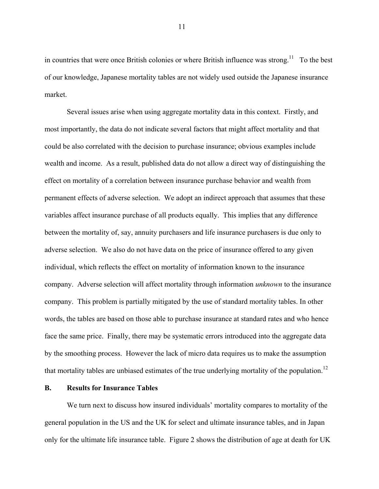in countries that were once British colonies or where British influence was strong.<sup>11</sup> To the best of our knowledge, Japanese mortality tables are not widely used outside the Japanese insurance market.

 Several issues arise when using aggregate mortality data in this context. Firstly, and most importantly, the data do not indicate several factors that might affect mortality and that could be also correlated with the decision to purchase insurance; obvious examples include wealth and income. As a result, published data do not allow a direct way of distinguishing the effect on mortality of a correlation between insurance purchase behavior and wealth from permanent effects of adverse selection. We adopt an indirect approach that assumes that these variables affect insurance purchase of all products equally. This implies that any difference between the mortality of, say, annuity purchasers and life insurance purchasers is due only to adverse selection. We also do not have data on the price of insurance offered to any given individual, which reflects the effect on mortality of information known to the insurance company. Adverse selection will affect mortality through information *unknown* to the insurance company. This problem is partially mitigated by the use of standard mortality tables. In other words, the tables are based on those able to purchase insurance at standard rates and who hence face the same price. Finally, there may be systematic errors introduced into the aggregate data by the smoothing process. However the lack of micro data requires us to make the assumption that mortality tables are unbiased estimates of the true underlying mortality of the population.<sup>12</sup>

# **B. Results for Insurance Tables**

We turn next to discuss how insured individuals' mortality compares to mortality of the general population in the US and the UK for select and ultimate insurance tables, and in Japan only for the ultimate life insurance table. Figure 2 shows the distribution of age at death for UK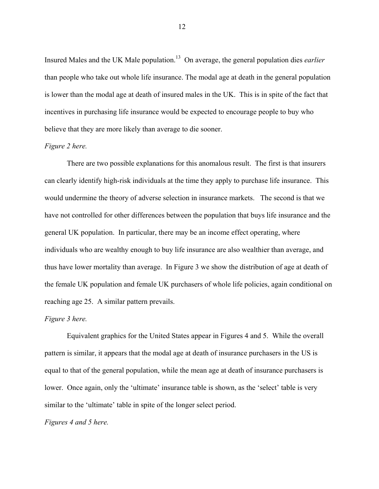Insured Males and the UK Male population.[13](#page-30-7) On average, the general population dies *earlier*  than people who take out whole life insurance. The modal age at death in the general population is lower than the modal age at death of insured males in the UK. This is in spite of the fact that incentives in purchasing life insurance would be expected to encourage people to buy who believe that they are more likely than average to die sooner.

#### *Figure 2 here.*

There are two possible explanations for this anomalous result. The first is that insurers can clearly identify high-risk individuals at the time they apply to purchase life insurance. This would undermine the theory of adverse selection in insurance markets. The second is that we have not controlled for other differences between the population that buys life insurance and the general UK population. In particular, there may be an income effect operating, where individuals who are wealthy enough to buy life insurance are also wealthier than average, and thus have lower mortality than average. In Figure 3 we show the distribution of age at death of the female UK population and female UK purchasers of whole life policies, again conditional on reaching age 25. A similar pattern prevails.

# *Figure 3 here.*

Equivalent graphics for the United States appear in Figures 4 and 5. While the overall pattern is similar, it appears that the modal age at death of insurance purchasers in the US is equal to that of the general population, while the mean age at death of insurance purchasers is lower. Once again, only the 'ultimate' insurance table is shown, as the 'select' table is very similar to the 'ultimate' table in spite of the longer select period.

## *Figures 4 and 5 here.*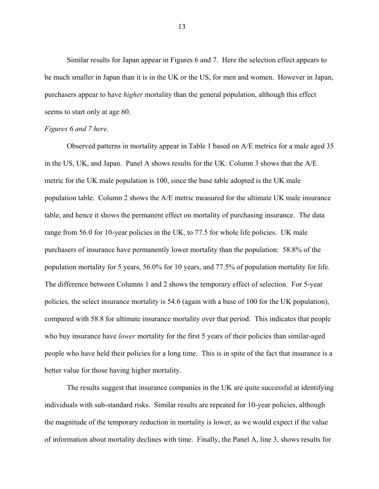Similar results for Japan appear in Figures 6 and 7. Here the selection effect appears to be much smaller in Japan than it is in the UK or the US, for men and women. However in Japan, purchasers appear to have *higher* mortality than the general population, although this effect seems to start only at age 60.

# *Figures 6 and 7 here.*

Observed patterns in mortality appear in Table 1 based on A/E metrics for a male aged 35 in the US, UK, and Japan. Panel A shows results for the UK: Column 3 shows that the A/E metric for the UK male population is 100, since the base table adopted is the UK male population table. Column 2 shows the A/E metric measured for the ultimate UK male insurance table, and hence it shows the permanent effect on mortality of purchasing insurance. The data range from 56.0 for 10-year policies in the UK, to 77.5 for whole life policies. UK male purchasers of insurance have permanently lower mortality than the population: 58.8% of the population mortality for 5 years, 56.0% for 10 years, and 77.5% of population mortality for life. The difference between Columns 1 and 2 shows the temporary effect of selection. For 5-year policies, the select insurance mortality is 54.6 (again with a base of 100 for the UK population), compared with 58.8 for ultimate insurance mortality over that period. This indicates that people who buy insurance have *lower* mortality for the first 5 years of their policies than similar-aged people who have held their policies for a long time. This is in spite of the fact that insurance is a better value for those having higher mortality.

The results suggest that insurance companies in the UK are quite successful at identifying individuals with sub-standard risks. Similar results are repeated for 10-year policies, although the magnitude of the temporary reduction in mortality is lower, as we would expect if the value of information about mortality declines with time. Finally, the Panel A, line 3, shows results for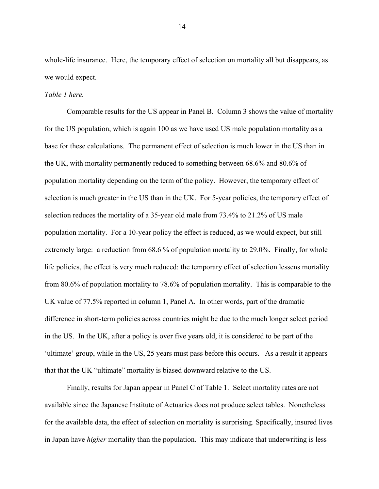whole-life insurance. Here, the temporary effect of selection on mortality all but disappears, as we would expect.

# *Table 1 here.*

Comparable results for the US appear in Panel B. Column 3 shows the value of mortality for the US population, which is again 100 as we have used US male population mortality as a base for these calculations. The permanent effect of selection is much lower in the US than in the UK, with mortality permanently reduced to something between 68.6% and 80.6% of population mortality depending on the term of the policy. However, the temporary effect of selection is much greater in the US than in the UK. For 5-year policies, the temporary effect of selection reduces the mortality of a 35-year old male from 73.4% to 21.2% of US male population mortality. For a 10-year policy the effect is reduced, as we would expect, but still extremely large: a reduction from 68.6 % of population mortality to 29.0%. Finally, for whole life policies, the effect is very much reduced: the temporary effect of selection lessens mortality from 80.6% of population mortality to 78.6% of population mortality. This is comparable to the UK value of 77.5% reported in column 1, Panel A. In other words, part of the dramatic difference in short-term policies across countries might be due to the much longer select period in the US. In the UK, after a policy is over five years old, it is considered to be part of the 'ultimate' group, while in the US, 25 years must pass before this occurs. As a result it appears that that the UK "ultimate" mortality is biased downward relative to the US.

Finally, results for Japan appear in Panel C of Table 1. Select mortality rates are not available since the Japanese Institute of Actuaries does not produce select tables. Nonetheless for the available data, the effect of selection on mortality is surprising. Specifically, insured lives in Japan have *higher* mortality than the population. This may indicate that underwriting is less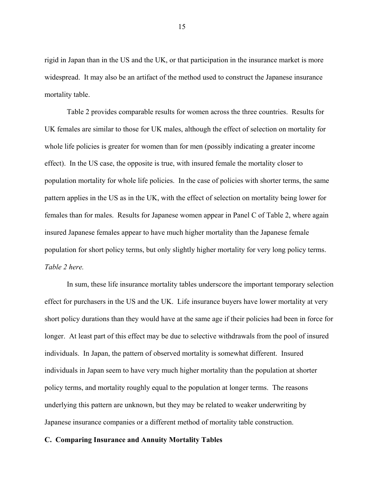rigid in Japan than in the US and the UK, or that participation in the insurance market is more widespread. It may also be an artifact of the method used to construct the Japanese insurance mortality table.

Table 2 provides comparable results for women across the three countries. Results for UK females are similar to those for UK males, although the effect of selection on mortality for whole life policies is greater for women than for men (possibly indicating a greater income effect). In the US case, the opposite is true, with insured female the mortality closer to population mortality for whole life policies. In the case of policies with shorter terms, the same pattern applies in the US as in the UK, with the effect of selection on mortality being lower for females than for males. Results for Japanese women appear in Panel C of Table 2, where again insured Japanese females appear to have much higher mortality than the Japanese female population for short policy terms, but only slightly higher mortality for very long policy terms. *Table 2 here.*

In sum, these life insurance mortality tables underscore the important temporary selection effect for purchasers in the US and the UK. Life insurance buyers have lower mortality at very short policy durations than they would have at the same age if their policies had been in force for longer. At least part of this effect may be due to selective withdrawals from the pool of insured individuals. In Japan, the pattern of observed mortality is somewhat different. Insured individuals in Japan seem to have very much higher mortality than the population at shorter policy terms, and mortality roughly equal to the population at longer terms. The reasons underlying this pattern are unknown, but they may be related to weaker underwriting by Japanese insurance companies or a different method of mortality table construction.

## **C. Comparing Insurance and Annuity Mortality Tables**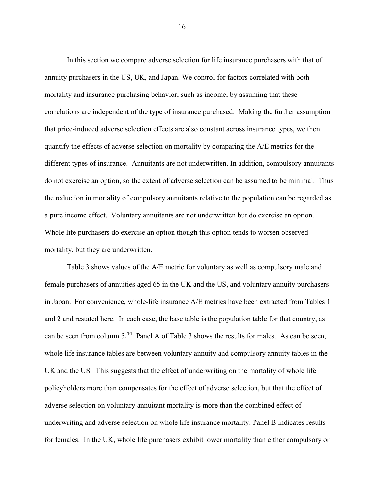In this section we compare adverse selection for life insurance purchasers with that of annuity purchasers in the US, UK, and Japan. We control for factors correlated with both mortality and insurance purchasing behavior, such as income, by assuming that these correlations are independent of the type of insurance purchased. Making the further assumption that price-induced adverse selection effects are also constant across insurance types, we then quantify the effects of adverse selection on mortality by comparing the A/E metrics for the different types of insurance. Annuitants are not underwritten. In addition, compulsory annuitants do not exercise an option, so the extent of adverse selection can be assumed to be minimal. Thus the reduction in mortality of compulsory annuitants relative to the population can be regarded as a pure income effect. Voluntary annuitants are not underwritten but do exercise an option. Whole life purchasers do exercise an option though this option tends to worsen observed mortality, but they are underwritten.

Table 3 shows values of the A/E metric for voluntary as well as compulsory male and female purchasers of annuities aged 65 in the UK and the US, and voluntary annuity purchasers in Japan. For convenience, whole-life insurance A/E metrics have been extracted from Tables 1 and 2 and restated here. In each case, the base table is the population table for that country, as can be seen from column 5.<sup>[14](#page-30-9)</sup> Panel A of Table 3 shows the results for males. As can be seen, whole life insurance tables are between voluntary annuity and compulsory annuity tables in the UK and the US. This suggests that the effect of underwriting on the mortality of whole life policyholders more than compensates for the effect of adverse selection, but that the effect of adverse selection on voluntary annuitant mortality is more than the combined effect of underwriting and adverse selection on whole life insurance mortality. Panel B indicates results for females. In the UK, whole life purchasers exhibit lower mortality than either compulsory or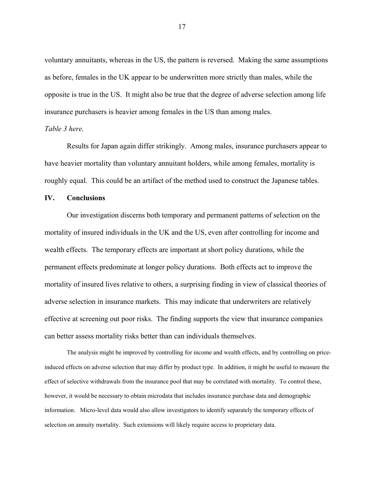voluntary annuitants, whereas in the US, the pattern is reversed. Making the same assumptions as before, females in the UK appear to be underwritten more strictly than males, while the opposite is true in the US. It might also be true that the degree of adverse selection among life insurance purchasers is heavier among females in the US than among males.

# *Table 3 here.*

Results for Japan again differ strikingly. Among males, insurance purchasers appear to have heavier mortality than voluntary annuitant holders, while among females, mortality is roughly equal. This could be an artifact of the method used to construct the Japanese tables.

# **IV. Conclusions**

Our investigation discerns both temporary and permanent patterns of selection on the mortality of insured individuals in the UK and the US, even after controlling for income and wealth effects. The temporary effects are important at short policy durations, while the permanent effects predominate at longer policy durations. Both effects act to improve the mortality of insured lives relative to others, a surprising finding in view of classical theories of adverse selection in insurance markets. This may indicate that underwriters are relatively effective at screening out poor risks. The finding supports the view that insurance companies can better assess mortality risks better than can individuals themselves.

The analysis might be improved by controlling for income and wealth effects, and by controlling on priceinduced effects on adverse selection that may differ by product type. In addition, it might be useful to measure the effect of selective withdrawals from the insurance pool that may be correlated with mortality. To control these, however, it would be necessary to obtain microdata that includes insurance purchase data and demographic information. Micro-level data would also allow investigators to identify separately the temporary effects of selection on annuity mortality. Such extensions will likely require access to proprietary data.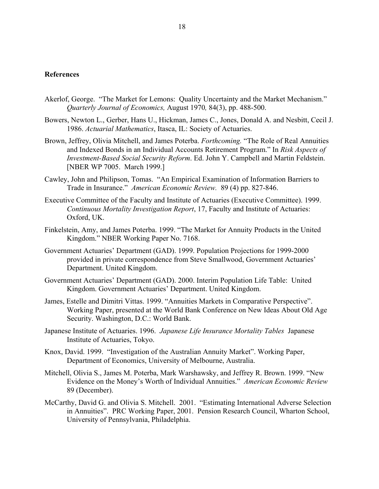# **References**

- Akerlof, George. "The Market for Lemons: Quality Uncertainty and the Market Mechanism." *Quarterly Journal of Economics,* August 1970*,* 84(3), pp. 488-500.
- Bowers, Newton L., Gerber, Hans U., Hickman, James C., Jones, Donald A. and Nesbitt, Cecil J. 1986. *Actuarial Mathematics*, Itasca, IL: Society of Actuaries.
- Brown, Jeffrey, Olivia Mitchell, and James Poterba. *Forthcoming.* "The Role of Real Annuities and Indexed Bonds in an Individual Accounts Retirement Program." In *Risk Aspects of Investment-Based Social Security Reform*. Ed. John Y. Campbell and Martin Feldstein. [NBER WP 7005. March 1999.]
- Cawley, John and Philipson, Tomas. "An Empirical Examination of Information Barriers to Trade in Insurance." *American Economic Review.* 89 (4) pp. 827-846.
- Executive Committee of the Faculty and Institute of Actuaries (Executive Committee). 1999. *Continuous Mortality Investigation Report*, 17, Faculty and Institute of Actuaries: Oxford, UK.
- Finkelstein, Amy, and James Poterba. 1999. "The Market for Annuity Products in the United Kingdom." NBER Working Paper No. 7168.
- Government Actuaries' Department (GAD). 1999. Population Projections for 1999-2000 provided in private correspondence from Steve Smallwood, Government Actuaries' Department. United Kingdom.
- Government Actuaries' Department (GAD). 2000. Interim Population Life Table: United Kingdom. Government Actuaries' Department. United Kingdom.
- James, Estelle and Dimitri Vittas. 1999. "Annuities Markets in Comparative Perspective". Working Paper, presented at the World Bank Conference on New Ideas About Old Age Security. Washington, D.C.: World Bank.
- Japanese Institute of Actuaries. 1996. *Japanese Life Insurance Mortality Tables* Japanese Institute of Actuaries, Tokyo.
- Knox, David. 1999. "Investigation of the Australian Annuity Market". Working Paper, Department of Economics, University of Melbourne, Australia.
- Mitchell, Olivia S., James M. Poterba, Mark Warshawsky, and Jeffrey R. Brown. 1999. "New Evidence on the Money's Worth of Individual Annuities." *American Economic Review*  89 (December).
- McCarthy, David G. and Olivia S. Mitchell. 2001. "Estimating International Adverse Selection in Annuities". PRC Working Paper, 2001. Pension Research Council, Wharton School, University of Pennsylvania, Philadelphia.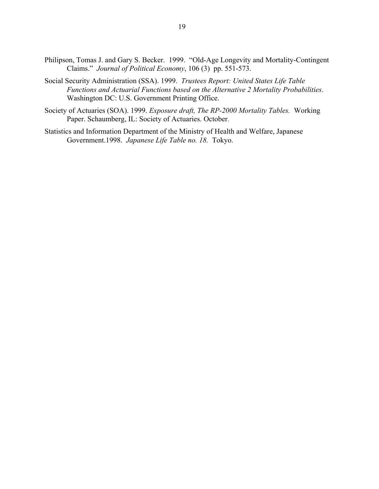- Philipson, Tomas J. and Gary S. Becker. 1999. "Old-Age Longevity and Mortality-Contingent Claims." *Journal of Political Economy*, 106 (3) pp. 551-573.
- Social Security Administration (SSA). 1999. *Trustees Report: United States Life Table Functions and Actuarial Functions based on the Alternative 2 Mortality Probabilities*. Washington DC: U.S. Government Printing Office.
- Society of Actuaries (SOA). 1999. *Exposure draft, The RP-2000 Mortality Tables.* Working Paper. Schaumberg, IL: Society of Actuaries. October.
- Statistics and Information Department of the Ministry of Health and Welfare, Japanese Government.1998. *Japanese Life Table no. 18.* Tokyo.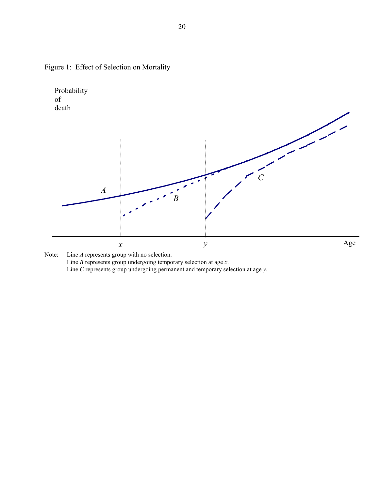



Note: Line *A* represents group with no selection. Line *B* represents group undergoing temporary selection at age *x*. Line *C* represents group undergoing permanent and temporary selection at age *y*.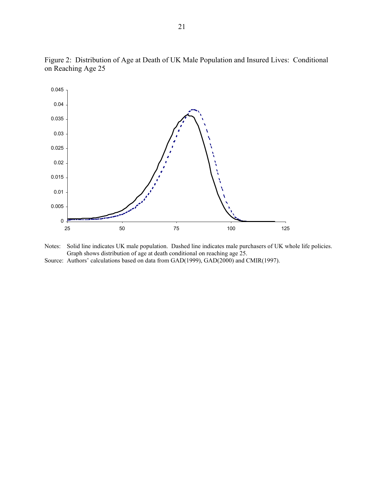

Figure 2: Distribution of Age at Death of UK Male Population and Insured Lives: Conditional on Reaching Age 25

Notes: Solid line indicates UK male population. Dashed line indicates male purchasers of UK whole life policies. Graph shows distribution of age at death conditional on reaching age 25.

Source: Authors' calculations based on data from GAD(1999), GAD(2000) and CMIR(1997).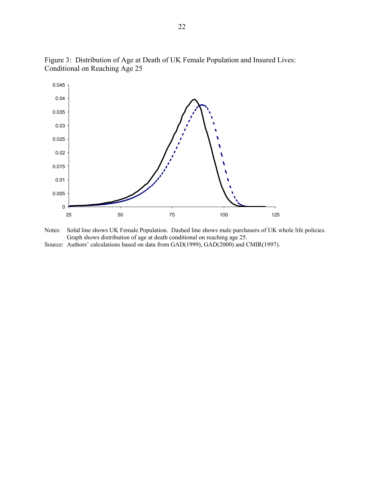

Figure 3: Distribution of Age at Death of UK Female Population and Insured Lives: Conditional on Reaching Age 25

Notes: Solid line shows UK Female Population. Dashed line shows male purchasers of UK whole life policies. Graph shows distribution of age at death conditional on reaching age 25.

Source: Authors' calculations based on data from GAD(1999), GAD(2000) and CMIR(1997).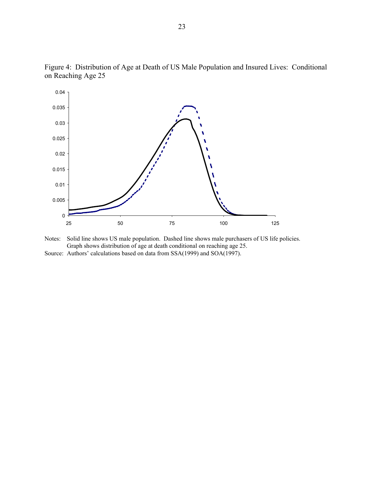

Figure 4: Distribution of Age at Death of US Male Population and Insured Lives: Conditional on Reaching Age 25

Notes: Solid line shows US male population. Dashed line shows male purchasers of US life policies. Graph shows distribution of age at death conditional on reaching age 25. Source: Authors' calculations based on data from SSA(1999) and SOA(1997).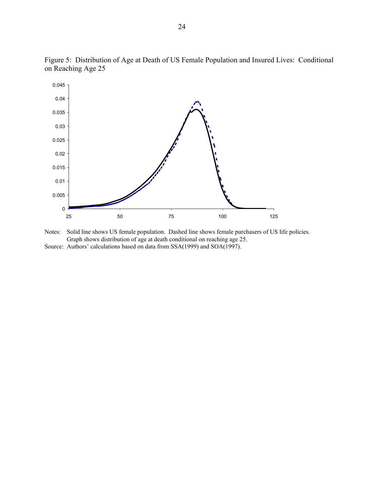

Figure 5: Distribution of Age at Death of US Female Population and Insured Lives: Conditional on Reaching Age 25

Notes: Solid line shows US female population. Dashed line shows female purchasers of US life policies. Graph shows distribution of age at death conditional on reaching age 25. Source: Authors' calculations based on data from SSA(1999) and SOA(1997).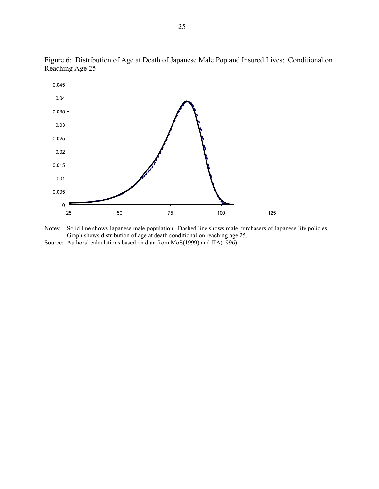

Figure 6: Distribution of Age at Death of Japanese Male Pop and Insured Lives: Conditional on Reaching Age 25

Notes: Solid line shows Japanese male population. Dashed line shows male purchasers of Japanese life policies. Graph shows distribution of age at death conditional on reaching age 25. Source: Authors' calculations based on data from MoS(1999) and JIA(1996).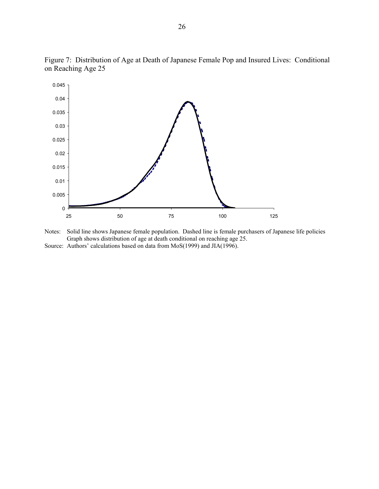

Figure 7: Distribution of Age at Death of Japanese Female Pop and Insured Lives: Conditional on Reaching Age 25

Notes: Solid line shows Japanese female population. Dashed line is female purchasers of Japanese life policies Graph shows distribution of age at death conditional on reaching age 25. Source: Authors' calculations based on data from MoS(1999) and JIA(1996).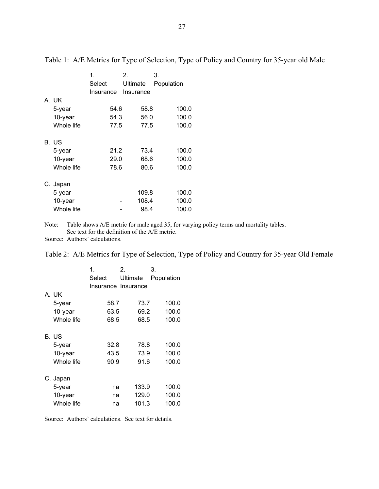|  |            | 1.        | $\mathbf{2}$ . | 3.         |
|--|------------|-----------|----------------|------------|
|  |            | Select    | Ultimate       | Population |
|  |            | Insurance | Insurance      |            |
|  | A. UK      |           |                |            |
|  | 5-year     | 54.6      | 58.8           | 100.0      |
|  | 10-year    | 54.3      | 56.0           | 100.0      |
|  | Whole life | 77.5      | 77.5           | 100.0      |
|  |            |           |                |            |
|  | B. US      |           |                |            |
|  | 5-year     | 21.2      | 73.4           | 100.0      |
|  | 10-year    | 29.0      | 68.6           | 100.0      |
|  | Whole life | 78.6      | 80.6           | 100.0      |
|  |            |           |                |            |
|  | C. Japan   |           |                |            |
|  | 5-year     |           | 109.8          | 100.0      |
|  | 10-year    |           | 108.4          | 100.0      |
|  | Whole life |           | 98.4           | 100.0      |
|  |            |           |                |            |

Table 1: A/E Metrics for Type of Selection, Type of Policy and Country for 35-year old Male

Note: Table shows A/E metric for male aged 35, for varying policy terms and mortality tables. See text for the definition of the A/E metric.

Source: Authors' calculations.

Table 2: A/E Metrics for Type of Selection, Type of Policy and Country for 35-year Old Female

|            | 1.                  | $2_{-}$  | 3.         |
|------------|---------------------|----------|------------|
|            | Select              | Ultimate | Population |
|            | Insurance Insurance |          |            |
| A. UK      |                     |          |            |
| 5-year     | 58.7                | 73.7     | 100.0      |
| 10-year    | 63.5                | 69.2     | 100.0      |
| Whole life | 68.5                | 68.5     | 100.0      |
| B. US      |                     |          |            |
| 5-year     | 32.8                | 78.8     | 100.0      |
| 10-year    | 43.5                | 73.9     | 100.0      |
| Whole life | 90.9                | 91.6     | 100.0      |
| C. Japan   |                     |          |            |
| 5-year     | na                  | 133.9    | 100.0      |
| 10-year    | na                  | 129.0    | 100.0      |
| Whole life | na                  | 101.3    | 100.0      |

Source: Authors' calculations. See text for details.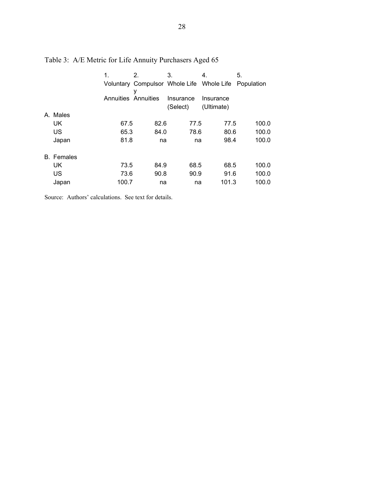|                   | 1.                  | 2.   | 3.                                        | 4.                      | 5.         |
|-------------------|---------------------|------|-------------------------------------------|-------------------------|------------|
|                   |                     | ٧    | Voluntary Compulsor Whole Life Whole Life |                         | Population |
|                   | Annuities Annuities |      | Insurance<br>(Select)                     | Insurance<br>(Ultimate) |            |
| A. Males          |                     |      |                                           |                         |            |
| UK                | 67.5                | 82.6 | 77.5                                      | 77.5                    | 100.0      |
| US                | 65.3                | 84.0 | 78.6                                      | 80.6                    | 100.0      |
| Japan             | 81.8                | na   | na                                        | 98.4                    | 100.0      |
| <b>B.</b> Females |                     |      |                                           |                         |            |
| UK                | 73.5                | 84.9 | 68.5                                      | 68.5                    | 100.0      |
| US                | 73.6                | 90.8 | 90.9                                      | 91.6                    | 100.0      |
| Japan             | 100.7               | na   | na                                        | 101.3                   | 100.0      |

Table 3: A/E Metric for Life Annuity Purchasers Aged 65

Source: Authors' calculations. See text for details.